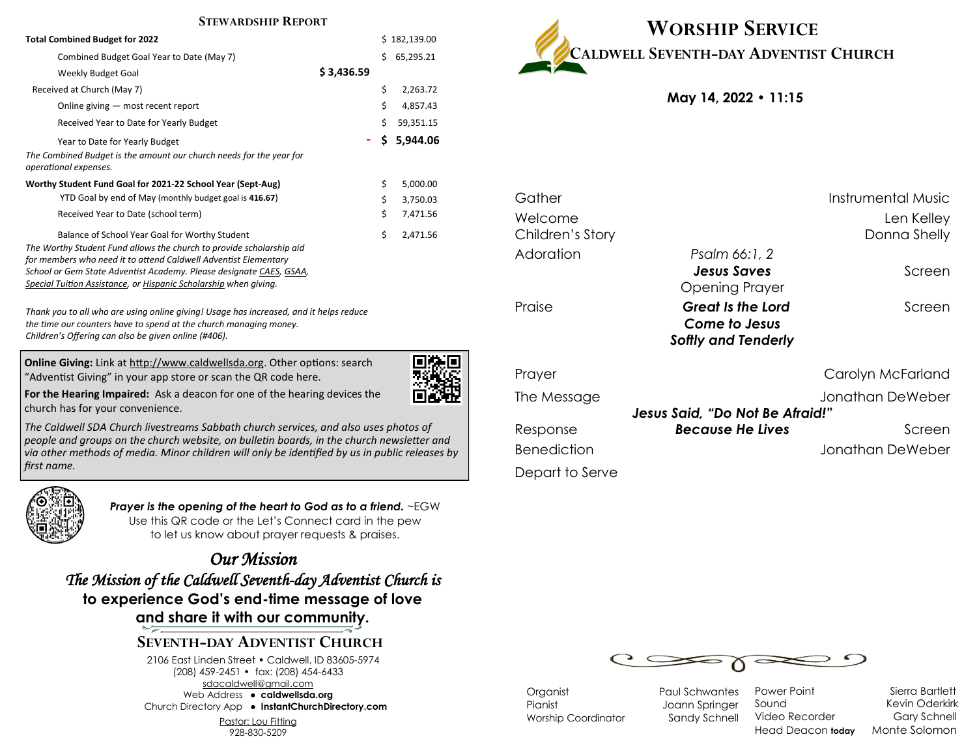#### **STEWARDSHIP REPORT**

| <b>Total Combined Budget for 2022</b>                                                                                                                                                                                                                                                                                                |            |          |           |  |
|--------------------------------------------------------------------------------------------------------------------------------------------------------------------------------------------------------------------------------------------------------------------------------------------------------------------------------------|------------|----------|-----------|--|
| Combined Budget Goal Year to Date (May 7)                                                                                                                                                                                                                                                                                            |            | Ś        | 65,295.21 |  |
| Weekly Budget Goal                                                                                                                                                                                                                                                                                                                   | \$3,436.59 |          |           |  |
| Received at Church (May 7)                                                                                                                                                                                                                                                                                                           | \$         | 2,263.72 |           |  |
| Online giving - most recent report                                                                                                                                                                                                                                                                                                   |            | \$       | 4,857.43  |  |
| Received Year to Date for Yearly Budget                                                                                                                                                                                                                                                                                              |            | Ś.       | 59,351.15 |  |
| Year to Date for Yearly Budget                                                                                                                                                                                                                                                                                                       |            | \$.      | 5,944.06  |  |
| The Combined Budget is the amount our church needs for the year for<br>operational expenses.                                                                                                                                                                                                                                         |            |          |           |  |
| Worthy Student Fund Goal for 2021-22 School Year (Sept-Aug)                                                                                                                                                                                                                                                                          | \$         | 5,000.00 |           |  |
| YTD Goal by end of May (monthly budget goal is 416.67)                                                                                                                                                                                                                                                                               |            | \$       | 3,750.03  |  |
| Received Year to Date (school term)                                                                                                                                                                                                                                                                                                  |            | \$       | 7,471.56  |  |
| Balance of School Year Goal for Worthy Student<br>The Worthy Student Fund allows the church to provide scholarship aid<br>for members who need it to attend Caldwell Adventist Elementary<br>School or Gem State Adventist Academy. Please designate CAES, GSAA,<br>Special Tuition Assistance, or Hispanic Scholarship when giving. |            | \$       | 2,471.56  |  |

*Thank you to all who are using online giving! Usage has increased, and it helps reduce the time our counters have to spend at the church managing money. Children's Offering can also be given online (#406).*

**Online Giving:** Link at http://www.caldwellsda.org. Other options: search "Adventist Giving" in your app store or scan the QR code here.



**For the Hearing Impaired:** Ask a deacon for one of the hearing devices the church has for your convenience.

*The Caldwell SDA Church livestreams Sabbath church services, and also uses photos of people and groups on the church website, on bulletin boards, in the church newsletter and via other methods of media. Minor children will only be identified by us in public releases by first name.*



*Prayer is the opening of the heart to God as to a friend.* ~EGW Use this QR code or the Let's Connect card in the pew to let us know about prayer requests & praises.

*Our Mission The Mission of the Caldwell Seventh-day Adventist Church is*  **to experience God's end-time message of love and share it with our community.**

# **SEVENTH-DAY ADVENTIST CHURCH**

2106 East Linden Street • Caldwell, ID 83605-5974 (208) 459-2451 • fax: (208) 454-6433 sdacaldwell@gmail.com Web Address ● **caldwellsda.org**  Church Directory App ● **InstantChurchDirectory.com**

Pastor: Lou Fitting

928-830-5209



**May 14, 2022 • 11:15**

| Gather             |                                                                  | Instrumental Music |
|--------------------|------------------------------------------------------------------|--------------------|
| Welcome            |                                                                  | Len Kelley         |
| Children's Story   |                                                                  | Donna Shelly       |
| Adoration          | Psalm 66:1, 2                                                    |                    |
|                    | <b>Jesus Saves</b><br>Opening Prayer                             | Screen             |
| Praise             | Great Is the Lord<br>Come to Jesus<br><b>Softly and Tenderly</b> | Screen             |
| Prayer             |                                                                  | Carolyn McFarland  |
| The Message        | <b>Jesus Said, "Do Not Be Afraid!"</b>                           | Jonathan DeWeber   |
| Response           | <b>Because He Lives</b>                                          | Screen             |
| <b>Benediction</b> |                                                                  | Jonathan DeWeber   |
| Depart to Serve    |                                                                  |                    |



Organist Paul Schwantes Pianist Joann Springer Worship Coordinator Sandy Schnell

Power Point Sierra Bartlett Sound Kevin Oderkirk Video Recorder **Gary Schnell** Head Deacon **today** Monte Solomon